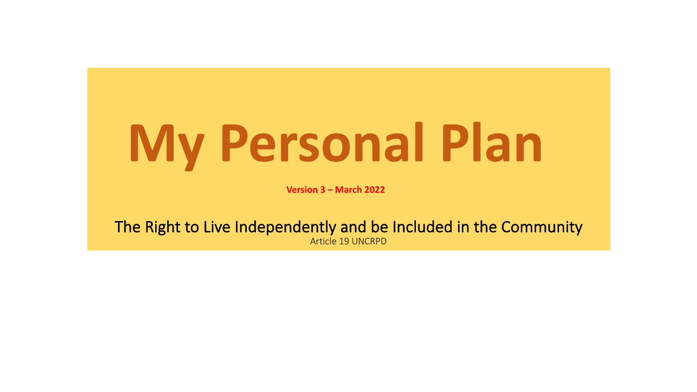# **My Personal Plan**

**Version 3 – March 2022**

The Right to Live Independently and be Included in the Community Article 19 UNCRPD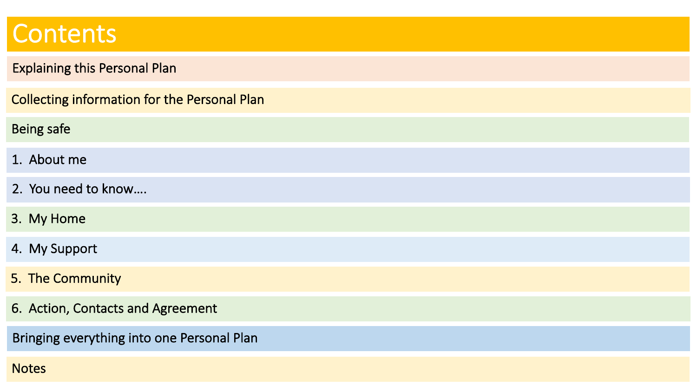#### **Contents**

#### Explaining this Personal Plan Collecting information for the Personal Plan 1. About me 3. My Home 2. You need to know…. 4. My Support 5. The Community 6. Action, Contacts and Agreement Bringing everything into one Personal Plan Being safe

**Notes**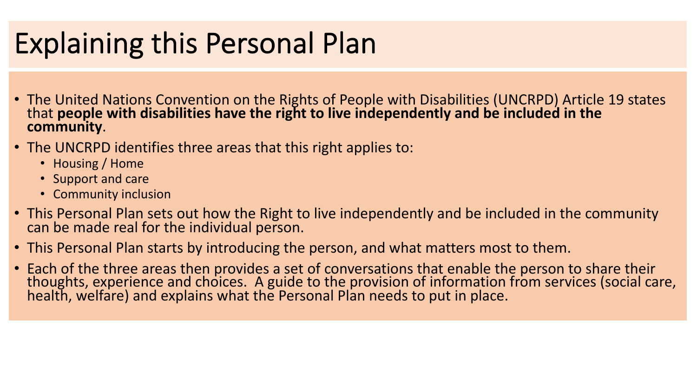### Explaining this Personal Plan

- The United Nations Convention on the Rights of People with Disabilities (UNCRPD) Article 19 states that **people with disabilities have the right to live independently and be included in the community**.
- The UNCRPD identifies three areas that this right applies to:
	- Housing / Home
	- Support and care
	- Community inclusion
- This Personal Plan sets out how the Right to live independently and be included in the community can be made real for the individual person.
- This Personal Plan starts by introducing the person, and what matters most to them.
- Each of the three areas then provides a set of conversations that enable the person to share their thoughts, experience and choices. A guide to the provision of information from services (social care, health, welfare) and explains what the Personal Plan needs to put in place.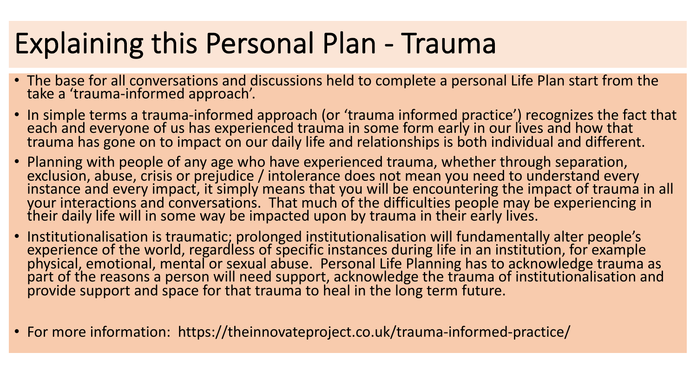# Explaining this Personal Plan - Trauma

- The base for all conversations and discussions held to complete a personal Life Plan start from the take a 'trauma-informed approach'.
- In simple terms a trauma-informed approach (or 'trauma informed practice') recognizes the fact that each and everyone of us has experienced trauma in some form early in our lives and how that trauma has gone on to impact on our daily life and relationships is both individual and different.
- Planning with people of any age who have experienced trauma, whether through separation, exclusion, abuse, crisis or prejudice / intolerance does not mean you need to understand every instance and every impact, it simply means that you will be encountering the impact of trauma in all your interactions and conversations. That much of the difficulties people may be experiencing in their daily life will in some way be impacted upon by trauma in their early lives.
- Institutionalisation is traumatic; prolonged institutionalisation will fundamentally alter people's experience of the world, regardless of specific instances during life in an institution, for example physical, emotional, mental or sexual abuse. Personal Life Planning has to acknowledge trauma as part of the reasons a person will need support, acknowledge the trauma of institutionalisation and provide support and space for that trauma to heal in the long term future.
- For more information: https://theinnovateproject.co.uk/trauma-informed-practice/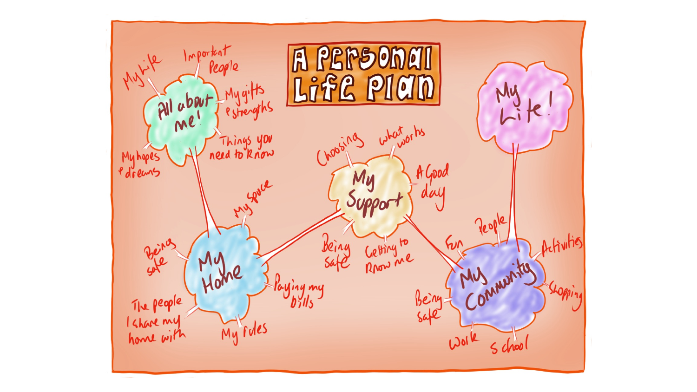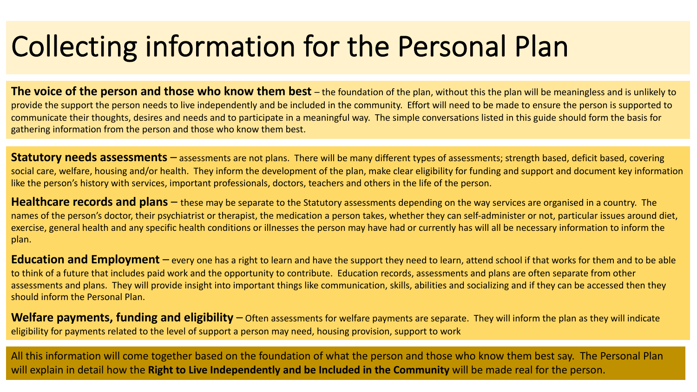### Collecting information for the Personal Plan

**The voice of the person and those who know them best** – the foundation of the plan, without this the plan will be meaningless and is unlikely to provide the support the person needs to live independently and be included in the community. Effort will need to be made to ensure the person is supported to communicate their thoughts, desires and needs and to participate in a meaningful way. The simple conversations listed in this guide should form the basis for gathering information from the person and those who know them best.

**Statutory needs assessments** – assessments are not plans. There will be many different types of assessments; strength based, deficit based, covering social care, welfare, housing and/or health. They inform the development of the plan, make clear eligibility for funding and support and document key information like the person's history with services, important professionals, doctors, teachers and others in the life of the person.

**Healthcare records and plans** – these may be separate to the Statutory assessments depending on the way services are organised in a country. The names of the person's doctor, their psychiatrist or therapist, the medication a person takes, whether they can self-administer or not, particular issues around diet, exercise, general health and any specific health conditions or illnesses the person may have had or currently has will all be necessary information to inform the plan.

**Education and Employment** – every one has a right to learn and have the support they need to learn, attend school if that works for them and to be able to think of a future that includes paid work and the opportunity to contribute. Education records, assessments and plans are often separate from other assessments and plans. They will provide insight into important things like communication, skills, abilities and socializing and if they can be accessed then they should inform the Personal Plan.

**Welfare payments, funding and eligibility** – Often assessments for welfare payments are separate. They will inform the plan as they will indicate eligibility for payments related to the level of support a person may need, housing provision, support to work

All this information will come together based on the foundation of what the person and those who know them best say. The Personal Plan will explain in detail how the **Right to Live Independently and be Included in the Community** will be made real for the person.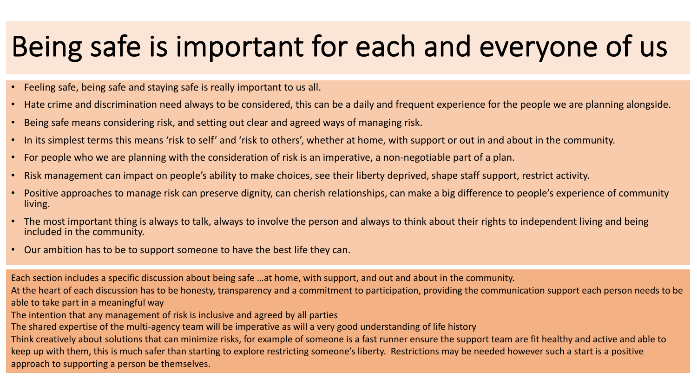#### Being safe is important for each and everyone of us

- Feeling safe, being safe and staying safe is really important to us all.
- Hate crime and discrimination need always to be considered, this can be a daily and frequent experience for the people we are planning alongside.
- Being safe means considering risk, and setting out clear and agreed ways of managing risk.
- In its simplest terms this means 'risk to self' and 'risk to others', whether at home, with support or out in and about in the community.
- For people who we are planning with the consideration of risk is an imperative, a non-negotiable part of a plan.
- Risk management can impact on people's ability to make choices, see their liberty deprived, shape staff support, restrict activity.
- Positive approaches to manage risk can preserve dignity, can cherish relationships, can make a big difference to people's experience of community living.
- The most important thing is always to talk, always to involve the person and always to think about their rights to independent living and being included in the community.
- Our ambition has to be to support someone to have the best life they can.

Each section includes a specific discussion about being safe …at home, with support, and out and about in the community. At the heart of each discussion has to be honesty, transparency and a commitment to participation, providing the communication support each person needs to be able to take part in a meaningful way The intention that any management of risk is inclusive and agreed by all parties

The shared expertise of the multi-agency team will be imperative as will a very good understanding of life history

Think creatively about solutions that can minimize risks, for example of someone is a fast runner ensure the support team are fit healthy and active and able to keep up with them, this is much safer than starting to explore restricting someone's liberty. Restrictions may be needed however such a start is a positive approach to supporting a person be themselves.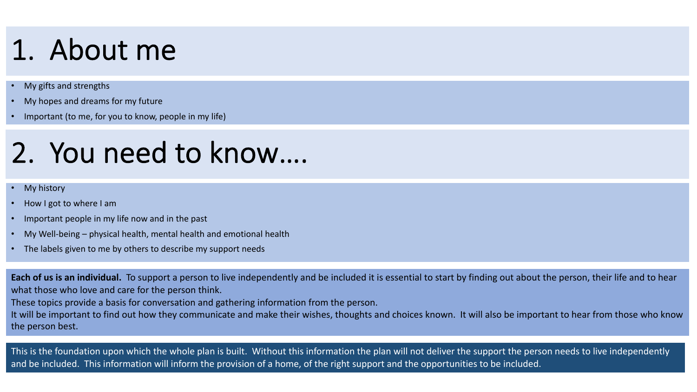### 1. About me

- My gifts and strengths
- My hopes and dreams for my future
- Important (to me, for you to know, people in my life)

#### 2. You need to know….

#### **My history**

- How I got to where I am
- Important people in my life now and in the past
- My Well-being physical health, mental health and emotional health
- The labels given to me by others to describe my support needs

**Each of us is an individual.** To support a person to live independently and be included it is essential to start by finding out about the person, their life and to hear what those who love and care for the person think.

These topics provide a basis for conversation and gathering information from the person.

It will be important to find out how they communicate and make their wishes, thoughts and choices known. It will also be important to hear from those who know the person best.

This is the foundation upon which the whole plan is built. Without this information the plan will not deliver the support the person needs to live independently and be included. This information will inform the provision of a home, of the right support and the opportunities to be included.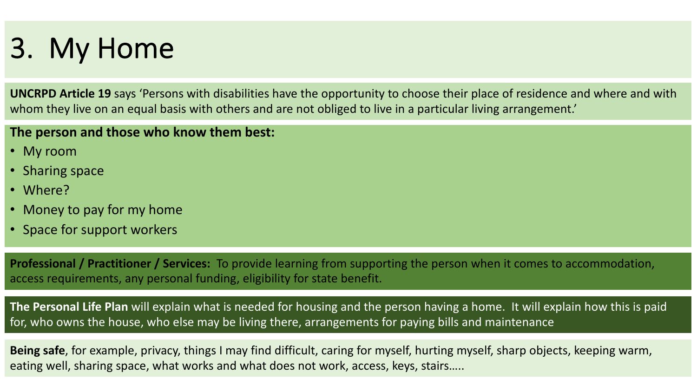#### 3. My Home

**UNCRPD Article 19** says 'Persons with disabilities have the opportunity to choose their place of residence and where and with whom they live on an equal basis with others and are not obliged to live in a particular living arrangement.

#### **The person and those who know them best:**

- My room
- Sharing space
- Where?
- Money to pay for my home
- Space for support workers

**Professional / Practitioner / Services:** To provide learning from supporting the person when it comes to accommodation, access requirements, any personal funding, eligibility for state benefit.

**The Personal Life Plan** will explain what is needed for housing and the person having a home. It will explain how this is paid for, who owns the house, who else may be living there, arrangements for paying bills and maintenance

**Being safe**, for example, privacy, things I may find difficult, caring for myself, hurting myself, sharp objects, keeping warm, eating well, sharing space, what works and what does not work, access, keys, stairs…..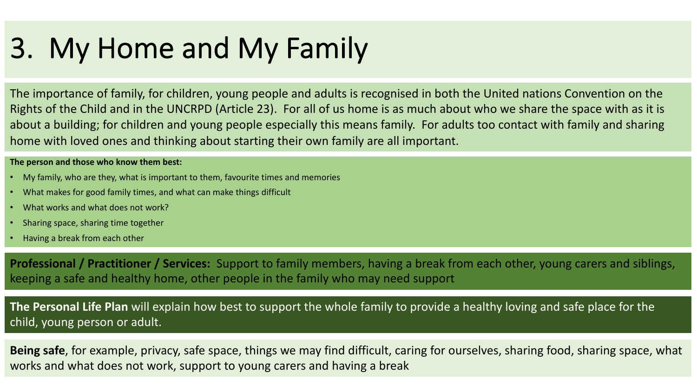#### 3. My Home and My Family

The importance of family, for children, young people and adults is recognised in both the United nations Convention on the Rights of the Child and in the UNCRPD (Article 23). For all of us home is as much about who we share the space with as it is about a building; for children and young people especially this means family. For adults too contact with family and sharing home with loved ones and thinking about starting their own family are all important.

#### **The person and those who know them best:**

- My family, who are they, what is important to them, favourite times and memories
- What makes for good family times, and what can make things difficult
- What works and what does not work?
- Sharing space, sharing time together
- Having a break from each other

**Professional / Practitioner / Services:** Support to family members, having a break from each other, young carers and siblings, keeping a safe and healthy home, other people in the family who may need support

**The Personal Life Plan** will explain how best to support the whole family to provide a healthy loving and safe place for the child, young person or adult.

**Being safe**, for example, privacy, safe space, things we may find difficult, caring for ourselves, sharing food, sharing space, what works and what does not work, support to young carers and having a break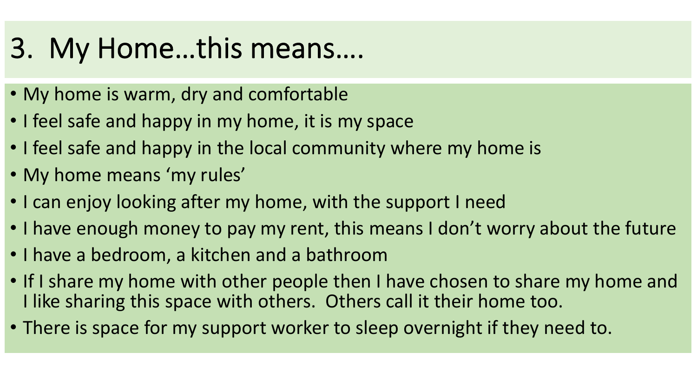#### 3. My Home…this means….

- My home is warm, dry and comfortable
- I feel safe and happy in my home, it is my space
- I feel safe and happy in the local community where my home is
- My home means 'my rules'
- I can enjoy looking after my home, with the support I need
- I have enough money to pay my rent, this means I don't worry about the future
- I have a bedroom, a kitchen and a bathroom
- If I share my home with other people then I have chosen to share my home and I like sharing this space with others. Others call it their home too.
- There is space for my support worker to sleep overnight if they need to.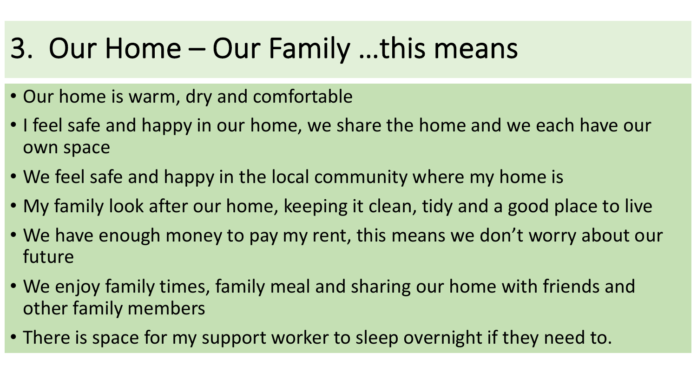#### 3. Our Home – Our Family …this means

- Our home is warm, dry and comfortable
- I feel safe and happy in our home, we share the home and we each have our own space
- We feel safe and happy in the local community where my home is
- My family look after our home, keeping it clean, tidy and a good place to live
- We have enough money to pay my rent, this means we don't worry about our future
- We enjoy family times, family meal and sharing our home with friends and other family members
- There is space for my support worker to sleep overnight if they need to.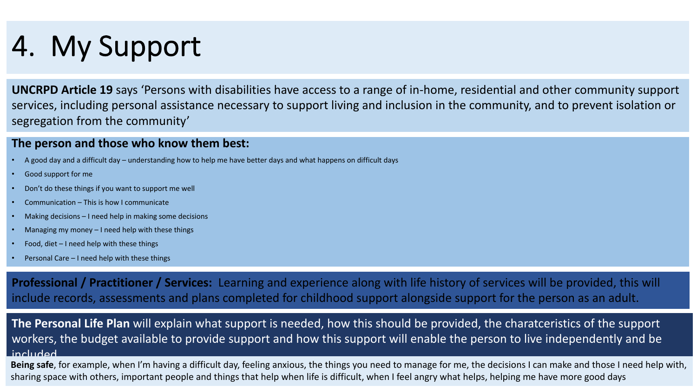# 4. My Support

**UNCRPD Article 19** says 'Persons with disabilities have access to a range of in-home, residential and other community support services, including personal assistance necessary to support living and inclusion in the community, and to prevent isolation or segregation from the community'

#### **The person and those who know them best:**

- A good day and a difficult day understanding how to help me have better days and what happens on difficult days
- Good support for me
- Don't do these things if you want to support me well
- Communication This is how I communicate
- Making decisions I need help in making some decisions
- Managing my money  $-1$  need help with these things
- Food, diet  $-1$  need help with these things
- Personal Care I need help with these things

**Professional / Practitioner / Services:** Learning and experience along with life history of services will be provided, this will include records, assessments and plans completed for childhood support alongside support for the person as an adult.

**The Personal Life Plan** will explain what support is needed, how this should be provided, the charatceristics of the support workers, the budget available to provide support and how this support will enable the person to live independently and be included

**Being safe**, for example, when I'm having a difficult day, feeling anxious, the things you need to manage for me, the decisions I can make and those I need help with, sharing space with others, important people and things that help when life is difficult, when I feel angry what helps, helping me have more good days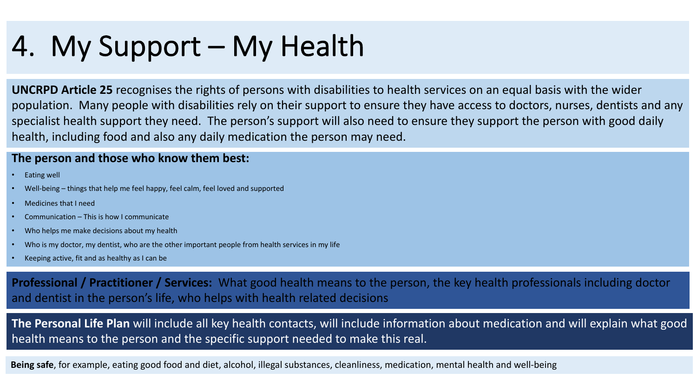### 4. My Support – My Health

**UNCRPD Article 25** recognises the rights of persons with disabilities to health services on an equal basis with the wider population. Many people with disabilities rely on their support to ensure they have access to doctors, nurses, dentists and any specialist health support they need. The person's support will also need to ensure they support the person with good daily health, including food and also any daily medication the person may need.

#### **The person and those who know them best:**

- Eating well
- Well-being things that help me feel happy, feel calm, feel loved and supported
- Medicines that I need
- Communication This is how I communicate
- Who helps me make decisions about my health
- Who is my doctor, my dentist, who are the other important people from health services in my life
- Keeping active, fit and as healthy as I can be

**Professional / Practitioner / Services:** What good health means to the person, the key health professionals including doctor and dentist in the person's life, who helps with health related decisions

**The Personal Life Plan** will include all key health contacts, will include information about medication and will explain what good health means to the person and the specific support needed to make this real.

**Being safe**, for example, eating good food and diet, alcohol, illegal substances, cleanliness, medication, mental health and well-being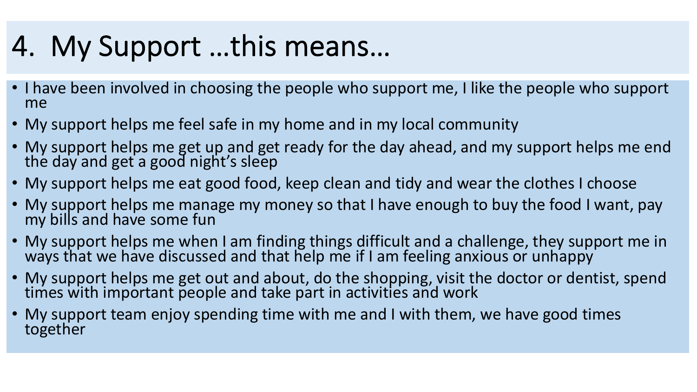# 4. My Support …this means…

- I have been involved in choosing the people who support me, I like the people who support me
- My support helps me feel safe in my home and in my local community
- My support helps me get up and get ready for the day ahead, and my support helps me end the day and get a good night's sleep
- My support helps me eat good food, keep clean and tidy and wear the clothes I choose
- My support helps me manage my money so that I have enough to buy the food I want, pay my bills and have some fun
- My support helps me when I am finding things difficult and a challenge, they support me in ways that we have discussed and that help me if I am feeling anxious or unhappy
- My support helps me get out and about, do the shopping, visit the doctor or dentist, spend times with important people and take part in activities and work
- My support team enjoy spending time with me and I with them, we have good times together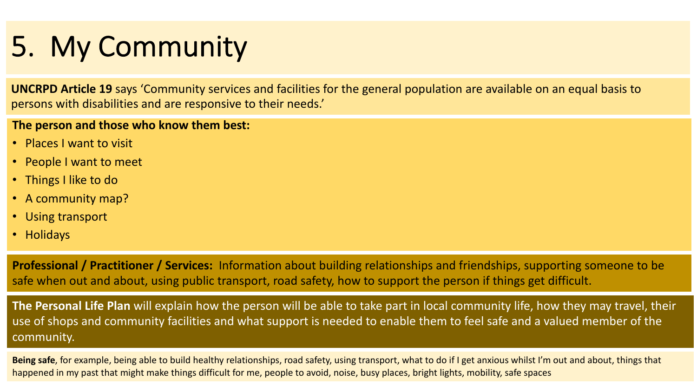# 5. My Community

**UNCRPD Article 19** says 'Community services and facilities for the general population are available on an equal basis to persons with disabilities and are responsive to their needs.'

#### **The person and those who know them best:**

- Places I want to visit
- People I want to meet
- Things I like to do
- A community map?
- Using transport
- Holidays

**Professional / Practitioner / Services:** Information about building relationships and friendships, supporting someone to be safe when out and about, using public transport, road safety, how to support the person if things get difficult.

**The Personal Life Plan** will explain how the person will be able to take part in local community life, how they may travel, their use of shops and community facilities and what support is needed to enable them to feel safe and a valued member of the community.

**Being safe**, for example, being able to build healthy relationships, road safety, using transport, what to do if I get anxious whilst I'm out and about, things that happened in my past that might make things difficult for me, people to avoid, noise, busy places, bright lights, mobility, safe spaces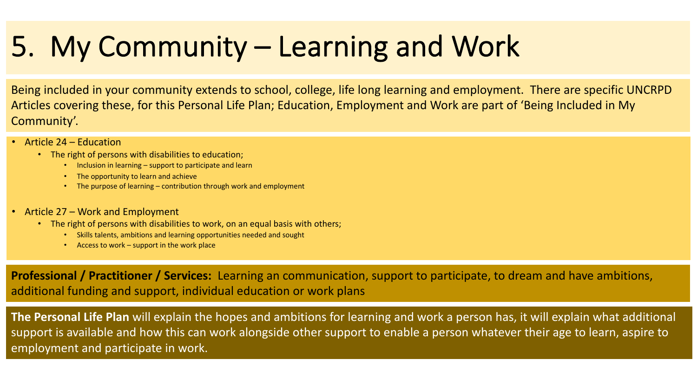### 5. My Community – Learning and Work

Being included in your community extends to school, college, life long learning and employment. There are specific UNCRPD Articles covering these, for this Personal Life Plan; Education, Employment and Work are part of 'Being Included in My Community'.

- Article 24 Education
	- The right of persons with disabilities to education;
		- Inclusion in learning support to participate and learn
		- The opportunity to learn and achieve
		- The purpose of learning contribution through work and employment
- Article 27 Work and Employment
	- The right of persons with disabilities to work, on an equal basis with others;
		- Skills talents, ambitions and learning opportunities needed and sought
		- Access to work support in the work place

**Professional / Practitioner / Services:** Learning an communication, support to participate, to dream and have ambitions, additional funding and support, individual education or work plans

**The Personal Life Plan** will explain the hopes and ambitions for learning and work a person has, it will explain what additional support is available and how this can work alongside other support to enable a person whatever their age to learn, aspire to employment and participate in work.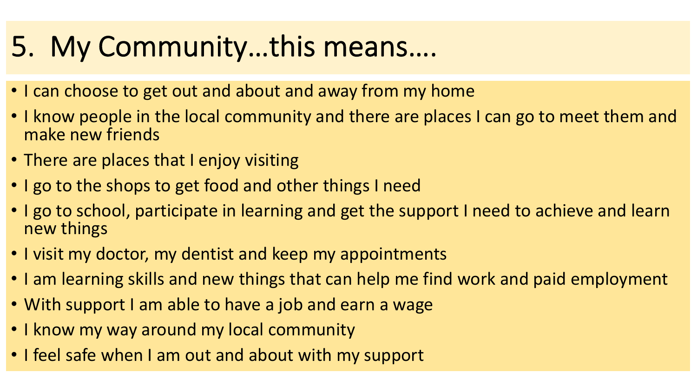#### 5. My Community…this means….

- I can choose to get out and about and away from my home
- I know people in the local community and there are places I can go to meet them and make new friends
- There are places that I enjoy visiting
- I go to the shops to get food and other things I need
- I go to school, participate in learning and get the support I need to achieve and learn new things
- I visit my doctor, my dentist and keep my appointments
- I am learning skills and new things that can help me find work and paid employment
- With support I am able to have a job and earn a wage
- I know my way around my local community
- I feel safe when I am out and about with my support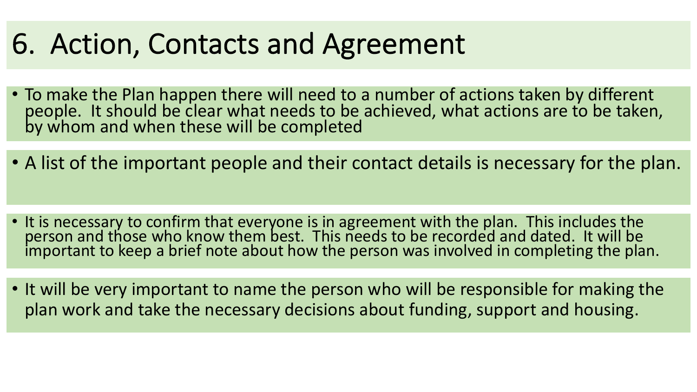#### 6. Action, Contacts and Agreement

- To make the Plan happen there will need to a number of actions taken by different people. It should be clear what needs to be achieved, what actions are to be taken, by whom and when these will be completed
- A list of the important people and their contact details is necessary for the plan.
- It is necessary to confirm that everyone is in agreement with the plan. This includes the person and those who know them best. This needs to be recorded and dated. It will be important to keep a brief note about how the person was involved in completing the plan.
- It will be very important to name the person who will be responsible for making the plan work and take the necessary decisions about funding, support and housing.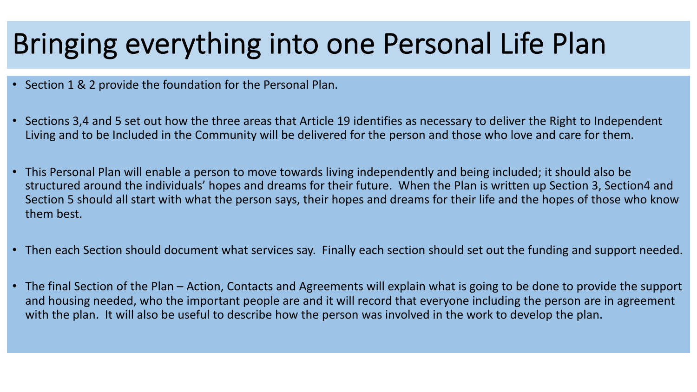#### Bringing everything into one Personal Life Plan

- Section 1 & 2 provide the foundation for the Personal Plan.
- Sections 3,4 and 5 set out how the three areas that Article 19 identifies as necessary to deliver the Right to Independent Living and to be Included in the Community will be delivered for the person and those who love and care for them.
- This Personal Plan will enable a person to move towards living independently and being included; it should also be structured around the individuals' hopes and dreams for their future. When the Plan is written up Section 3, Section4 and Section 5 should all start with what the person says, their hopes and dreams for their life and the hopes of those who know them best.
- Then each Section should document what services say. Finally each section should set out the funding and support needed.
- The final Section of the Plan Action, Contacts and Agreements will explain what is going to be done to provide the support and housing needed, who the important people are and it will record that everyone including the person are in agreement with the plan. It will also be useful to describe how the person was involved in the work to develop the plan.